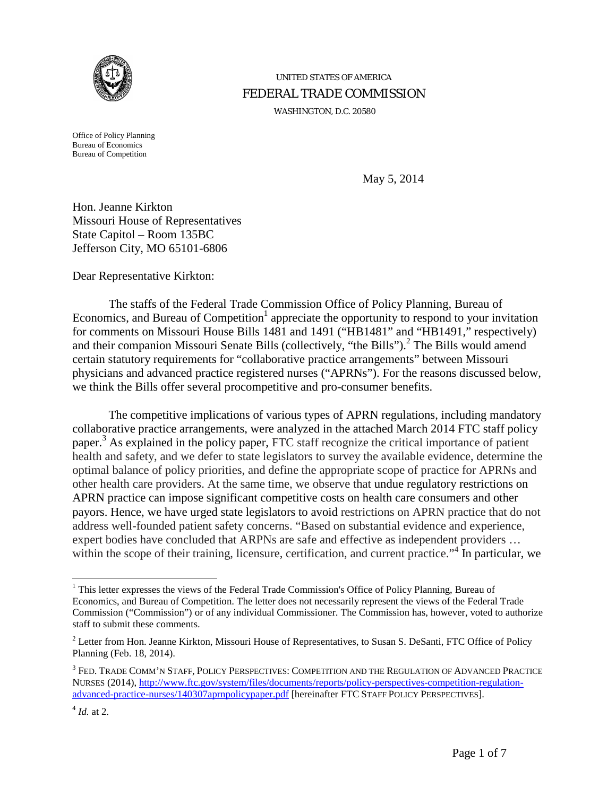

# UNITED STATES OF AMERICA FEDERAL TRADE COMMISSION

WASHINGTON, D.C. 20580

Office of Policy Planning Bureau of Economics Bureau of Competition

May 5, 2014

Hon. Jeanne Kirkton Missouri House of Representatives State Capitol – Room 135BC Jefferson City, MO 65101-6806

Dear Representative Kirkton:

The staffs of the Federal Trade Commission Office of Policy Planning, Bureau of Economics, and Bureau of Competition<sup>1</sup> appreciate the opportunity to respond to your invitation for comments on Missouri House Bills 1481 and 1491 ("HB1481" and "HB1491," respectively) and their companion Missouri Senate Bills (collectively, "the Bills").<sup>2</sup> The Bills would amend certain statutory requirements for "collaborative practice arrangements" between Missouri physicians and advanced practice registered nurses ("APRNs"). For the reasons discussed below, we think the Bills offer several procompetitive and pro-consumer benefits.

The competitive implications of various types of APRN regulations, including mandatory collaborative practice arrangements, were analyzed in the attached March 2014 FTC staff policy paper.<sup>3</sup> As explained in the policy paper, FTC staff recognize the critical importance of patient health and safety, and we defer to state legislators to survey the available evidence, determine the optimal balance of policy priorities, and define the appropriate scope of practice for APRNs and other health care providers. At the same time, we observe that undue regulatory restrictions on APRN practice can impose significant competitive costs on health care consumers and other payors. Hence, we have urged state legislators to avoid restrictions on APRN practice that do not address well-founded patient safety concerns. "Based on substantial evidence and experience, expert bodies have concluded that ARPNs are safe and effective as independent providers … within the scope of their training, licensure, certification, and current practice."<sup>4</sup> In particular, we

<sup>&</sup>lt;sup>1</sup> This letter expresses the views of the Federal Trade Commission's Office of Policy Planning, Bureau of Economics, and Bureau of Competition. The letter does not necessarily represent the views of the Federal Trade Commission ("Commission") or of any individual Commissioner. The Commission has, however, voted to authorize staff to submit these comments.

<sup>&</sup>lt;sup>2</sup> Letter from Hon. Jeanne Kirkton, Missouri House of Representatives, to Susan S. DeSanti, FTC Office of Policy Planning (Feb. 18, 2014).

<sup>3</sup> FED. TRADE COMM'N STAFF, POLICY PERSPECTIVES: COMPETITION AND THE REGULATION OF ADVANCED PRACTICE NURSES (2014), [http://www.ftc.gov/system/files/documents/reports/policy-perspectives-competition-regulation](http://www.ftc.gov/system/files/documents/reports/policy-perspectives-competition-regulation-advanced-practice-nurses/140307aprnpolicypaper.pdf)[advanced-practice-nurses/140307aprnpolicypaper.pdf](http://www.ftc.gov/system/files/documents/reports/policy-perspectives-competition-regulation-advanced-practice-nurses/140307aprnpolicypaper.pdf) [hereinafter FTC STAFF POLICY PERSPECTIVES].

 $^{4}$  *Id.* at 2.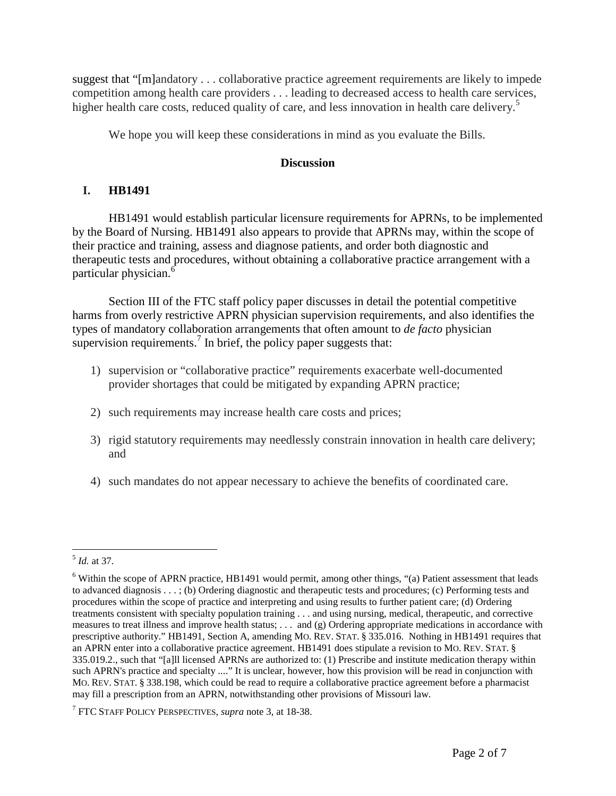suggest that "[m]andatory . . . collaborative practice agreement requirements are likely to impede competition among health care providers . . . leading to decreased access to health care services, higher health care costs, reduced quality of care, and less innovation in health care delivery.<sup>5</sup>

We hope you will keep these considerations in mind as you evaluate the Bills.

### **Discussion**

# **I. HB1491**

HB1491 would establish particular licensure requirements for APRNs, to be implemented by the Board of Nursing. HB1491 also appears to provide that APRNs may, within the scope of their practice and training, assess and diagnose patients, and order both diagnostic and therapeutic tests and procedures, without obtaining a collaborative practice arrangement with a particular physician.<sup>6</sup>

Section III of the FTC staff policy paper discusses in detail the potential competitive harms from overly restrictive APRN physician supervision requirements, and also identifies the types of mandatory collaboration arrangements that often amount to *de facto* physician supervision requirements.<sup>7</sup> In brief, the policy paper suggests that:

- 1) supervision or "collaborative practice" requirements exacerbate well-documented provider shortages that could be mitigated by expanding APRN practice;
- 2) such requirements may increase health care costs and prices;
- 3) rigid statutory requirements may needlessly constrain innovation in health care delivery; and
- 4) such mandates do not appear necessary to achieve the benefits of coordinated care.

 <sup>5</sup> *Id.* at 37.

<sup>&</sup>lt;sup>6</sup> Within the scope of APRN practice, HB1491 would permit, among other things, "(a) Patient assessment that leads to advanced diagnosis . . . ; (b) Ordering diagnostic and therapeutic tests and procedures; (c) Performing tests and procedures within the scope of practice and interpreting and using results to further patient care; (d) Ordering treatments consistent with specialty population training . . . and using nursing, medical, therapeutic, and corrective measures to treat illness and improve health status; . . . and (g) Ordering appropriate medications in accordance with prescriptive authority." HB1491, Section A, amending MO. REV. STAT. § 335.016. Nothing in HB1491 requires that an APRN enter into a collaborative practice agreement. HB1491 does stipulate a revision to MO. REV. STAT. § 335.019.2., such that "[a]ll licensed APRNs are authorized to: (1) Prescribe and institute medication therapy within such APRN's practice and specialty ...." It is unclear, however, how this provision will be read in conjunction with MO. REV. STAT. § 338.198, which could be read to require a collaborative practice agreement before a pharmacist may fill a prescription from an APRN, notwithstanding other provisions of Missouri law.

<sup>7</sup> FTC STAFF POLICY PERSPECTIVES, *supra* note 3, at 18-38.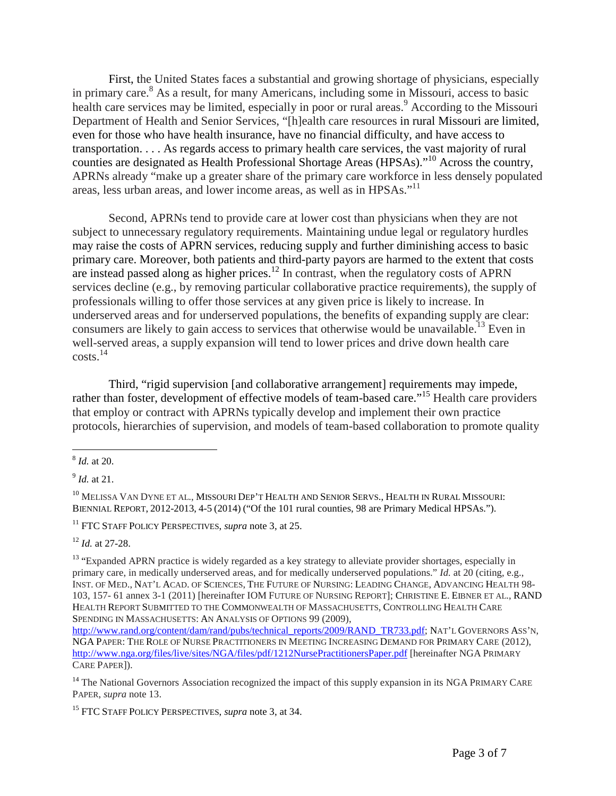First, the United States faces a substantial and growing shortage of physicians, especially in primary care. <sup>8</sup> As a result, for many Americans, including some in Missouri, access to basic health care services may be limited, especially in poor or rural areas.<sup>9</sup> According to the Missouri Department of Health and Senior Services, "[h]ealth care resources in rural Missouri are limited, even for those who have health insurance, have no financial difficulty, and have access to transportation. . . . As regards access to primary health care services, the vast majority of rural counties are designated as Health Professional Shortage Areas (HPSAs)."<sup>10</sup> Across the country, APRNs already "make up a greater share of the primary care workforce in less densely populated areas, less urban areas, and lower income areas, as well as in HPSAs."<sup>11</sup>

Second, APRNs tend to provide care at lower cost than physicians when they are not subject to unnecessary regulatory requirements. Maintaining undue legal or regulatory hurdles may raise the costs of APRN services, reducing supply and further diminishing access to basic primary care. Moreover, both patients and third-party payors are harmed to the extent that costs are instead passed along as higher prices.<sup>12</sup> In contrast, when the regulatory costs of APRN services decline (e.g., by removing particular collaborative practice requirements), the supply of professionals willing to offer those services at any given price is likely to increase. In underserved areas and for underserved populations, the benefits of expanding supply are clear: consumers are likely to gain access to services that otherwise would be unavailable.<sup>13</sup> Even in well-served areas, a supply expansion will tend to lower prices and drive down health care  $costs<sup>14</sup>$ 

<span id="page-2-0"></span>Third, "rigid supervision [and collaborative arrangement] requirements may impede, rather than foster, development of effective models of team-based care."<sup>15</sup> Health care providers that employ or contract with APRNs typically develop and implement their own practice protocols, hierarchies of supervision, and models of team-based collaboration to promote quality

<sup>9</sup> *Id.* at 21.

<sup>10</sup> MELISSA VAN DYNE ET AL., MISSOURI DEP'T HEALTH AND SENIOR SERVS., HEALTH IN RURAL MISSOURI: BIENNIAL REPORT, 2012-2013, 4-5 (2014) ("Of the 101 rural counties, 98 are Primary Medical HPSAs.").

<sup>11</sup> FTC STAFF POLICY PERSPECTIVES, *supra* note 3, at 25.

<sup>12</sup> *Id.* at 27-28.

<sup>14</sup> The National Governors Association recognized the impact of this supply expansion in its NGA PRIMARY CARE PAPER, *supra* note [13.](#page-2-0)

 <sup>8</sup> *Id.* at 20.

<sup>&</sup>lt;sup>13</sup> "Expanded APRN practice is widely regarded as a key strategy to alleviate provider shortages, especially in primary care, in medically underserved areas, and for medically underserved populations." *Id.* at 20 (citing, e.g., INST. OF MED., NAT'L ACAD. OF SCIENCES, THE FUTURE OF NURSING: LEADING CHANGE, ADVANCING HEALTH 98- 103, 157- 61 annex 3-1 (2011) [hereinafter IOM FUTURE OF NURSING REPORT]; CHRISTINE E. EIBNER ET AL., RAND HEALTH REPORT SUBMITTED TO THE COMMONWEALTH OF MASSACHUSETTS, CONTROLLING HEALTH CARE SPENDING IN MASSACHUSETTS: AN ANALYSIS OF OPTIONS 99 (2009),

[http://www.rand.org/content/dam/rand/pubs/technical\\_reports/2009/RAND\\_TR733.pdf;](http://www.rand.org/content/dam/rand/pubs/technical_reports/2009/RAND_TR733.pdf) NAT'L GOVERNORS ASS'N, NGA PAPER: THE ROLE OF NURSE PRACTITIONERS IN MEETING INCREASING DEMAND FOR PRIMARY CARE (2012), <http://www.nga.org/files/live/sites/NGA/files/pdf/1212NursePractitionersPaper.pdf> [hereinafter NGA PRIMARY CARE PAPER]).

<sup>15</sup> FTC STAFF POLICY PERSPECTIVES, *supra* note 3, at 34.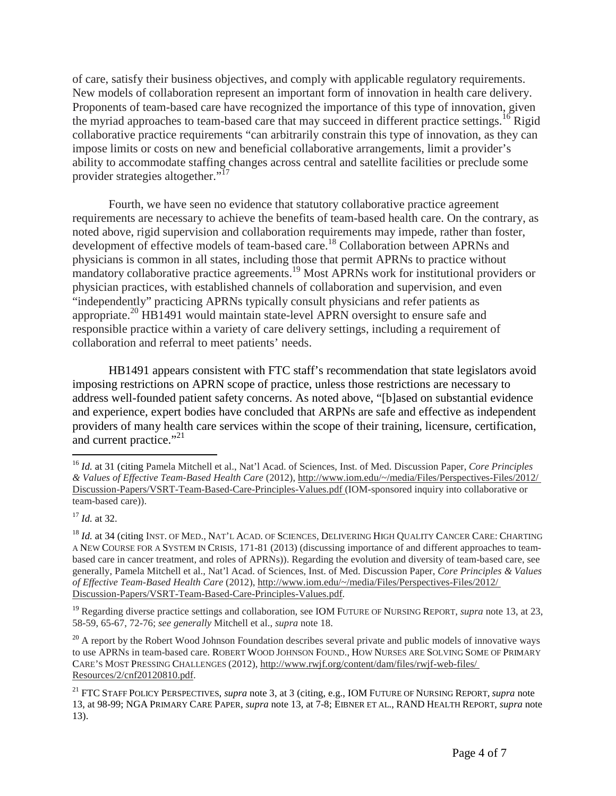of care, satisfy their business objectives, and comply with applicable regulatory requirements. New models of collaboration represent an important form of innovation in health care delivery. Proponents of team-based care have recognized the importance of this type of innovation, given the myriad approaches to team-based care that may succeed in different practice settings.<sup>16</sup> Rigid collaborative practice requirements "can arbitrarily constrain this type of innovation, as they can impose limits or costs on new and beneficial collaborative arrangements, limit a provider's ability to accommodate staffing changes across central and satellite facilities or preclude some provider strategies altogether."<sup>17</sup>

Fourth, we have seen no evidence that statutory collaborative practice agreement requirements are necessary to achieve the benefits of team-based health care. On the contrary, as noted above, rigid supervision and collaboration requirements may impede, rather than foster, development of effective models of team-based care.<sup>18</sup> Collaboration between APRNs and physicians is common in all states, including those that permit APRNs to practice without mandatory collaborative practice agreements.<sup>19</sup> Most APRNs work for institutional providers or physician practices, with established channels of collaboration and supervision, and even "independently" practicing APRNs typically consult physicians and refer patients as appropriate.<sup>20</sup> HB1491 would maintain state-level APRN oversight to ensure safe and responsible practice within a variety of care delivery settings, including a requirement of collaboration and referral to meet patients' needs.

HB1491 appears consistent with FTC staff's recommendation that state legislators avoid imposing restrictions on APRN scope of practice, unless those restrictions are necessary to address well-founded patient safety concerns. As noted above, "[b]ased on substantial evidence and experience, expert bodies have concluded that ARPNs are safe and effective as independent providers of many health care services within the scope of their training, licensure, certification, and current practice."<sup>21</sup>

 <sup>16</sup> *Id.* at 31 (citing Pamela Mitchell et al., Nat'l Acad. of Sciences, Inst. of Med. Discussion Paper, *Core Principles & Values of Effective Team-Based Health Care* (2012), http://www.iom.edu/~/media/Files/Perspectives-Files/2012/ Discussion-Papers/VSRT-Team-Based-Care-Principles-Values.pdf (IOM-sponsored inquiry into collaborative or team-based care)).

<sup>17</sup> *Id.* at 32.

<sup>&</sup>lt;sup>18</sup> *Id.* at 34 (citing INST. OF MED., NAT'L ACAD. OF SCIENCES, DELIVERING HIGH QUALITY CANCER CARE: CHARTING A NEW COURSE FOR A SYSTEM IN CRISIS, 171-81 (2013) (discussing importance of and different approaches to teambased care in cancer treatment, and roles of APRNs)). Regarding the evolution and diversity of team-based care, see generally, Pamela Mitchell et al., Nat'l Acad. of Sciences, Inst. of Med. Discussion Paper, *Core Principles & Values of Effective Team-Based Health Care* (2012), http://www.iom.edu/~/media/Files/Perspectives-Files/2012/ Discussion-Papers/VSRT-Team-Based-Care-Principles-Values.pdf.

<sup>19</sup> Regarding diverse practice settings and collaboration, see IOM FUTURE OF NURSING REPORT, *supra* note 13, at 23, 58-59, 65-67, 72-76; *see generally* Mitchell et al., *supra* note 18.

 $20$  A report by the Robert Wood Johnson Foundation describes several private and public models of innovative ways to use APRNs in team-based care. ROBERT WOOD JOHNSON FOUND., HOW NURSES ARE SOLVING SOME OF PRIMARY CARE'S MOST PRESSING CHALLENGES (2012), http://www.rwjf.org/content/dam/files/rwjf-web-files/ Resources/2/cnf20120810.pdf.

<sup>21</sup> FTC STAFF POLICY PERSPECTIVES, *supra* note 3, at 3 (citing, e.g., IOM FUTURE OF NURSING REPORT, *supra* note [13,](#page-2-0) at 98-99; NGA PRIMARY CARE PAPER, *supra* note [13,](#page-2-0) at 7-8; EIBNER ET AL., RAND HEALTH REPORT, *supra* note 13).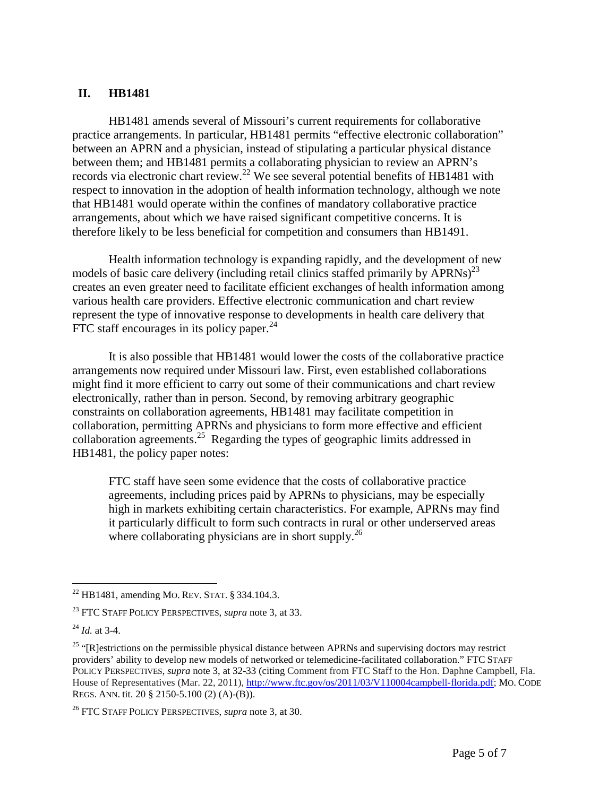#### **II. HB1481**

HB1481 amends several of Missouri's current requirements for collaborative practice arrangements. In particular, HB1481 permits "effective electronic collaboration" between an APRN and a physician, instead of stipulating a particular physical distance between them; and HB1481 permits a collaborating physician to review an APRN's records via electronic chart review.<sup>22</sup> We see several potential benefits of HB1481 with respect to innovation in the adoption of health information technology, although we note that HB1481 would operate within the confines of mandatory collaborative practice arrangements, about which we have raised significant competitive concerns. It is therefore likely to be less beneficial for competition and consumers than HB1491.

Health information technology is expanding rapidly, and the development of new models of basic care delivery (including retail clinics staffed primarily by APRNs)<sup>23</sup> creates an even greater need to facilitate efficient exchanges of health information among various health care providers. Effective electronic communication and chart review represent the type of innovative response to developments in health care delivery that FTC staff encourages in its policy paper.<sup>24</sup>

It is also possible that HB1481 would lower the costs of the collaborative practice arrangements now required under Missouri law. First, even established collaborations might find it more efficient to carry out some of their communications and chart review electronically, rather than in person. Second, by removing arbitrary geographic constraints on collaboration agreements, HB1481 may facilitate competition in collaboration, permitting APRNs and physicians to form more effective and efficient collaboration agreements.<sup>25</sup> Regarding the types of geographic limits addressed in HB1481, the policy paper notes:

FTC staff have seen some evidence that the costs of collaborative practice agreements, including prices paid by APRNs to physicians, may be especially high in markets exhibiting certain characteristics. For example, APRNs may find it particularly difficult to form such contracts in rural or other underserved areas where collaborating physicians are in short supply.<sup>26</sup>

 <sup>22</sup> HB1481, amending MO. REV. STAT. § 334.104.3.

<sup>23</sup> FTC STAFF POLICY PERSPECTIVES, *supra* note 3, at 33.

<sup>24</sup> *Id.* at 3-4.

<sup>&</sup>lt;sup>25</sup> "[R]estrictions on the permissible physical distance between APRNs and supervising doctors may restrict providers' ability to develop new models of networked or telemedicine-facilitated collaboration." FTC STAFF POLICY PERSPECTIVES, *supra* note 3, at 32-33 (citing Comment from FTC Staff to the Hon. Daphne Campbell, Fla. House of Representatives (Mar. 22, 2011), [http://www.ftc.gov/os/2011/03/V110004campbell-florida.pdf;](http://www.ftc.gov/os/2011/03/V110004campbell-florida.pdf) MO. CODE REGS. ANN. tit. 20 § 2150-5.100 (2) (A)-(B)).

<sup>26</sup> FTC STAFF POLICY PERSPECTIVES, *supra* note 3, at 30.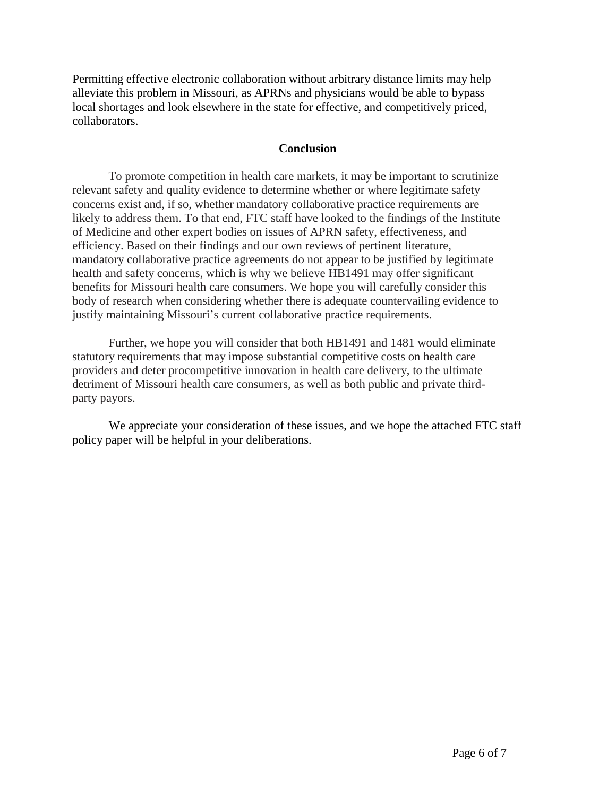Permitting effective electronic collaboration without arbitrary distance limits may help alleviate this problem in Missouri, as APRNs and physicians would be able to bypass local shortages and look elsewhere in the state for effective, and competitively priced, collaborators.

#### **Conclusion**

To promote competition in health care markets, it may be important to scrutinize relevant safety and quality evidence to determine whether or where legitimate safety concerns exist and, if so, whether mandatory collaborative practice requirements are likely to address them. To that end, FTC staff have looked to the findings of the Institute of Medicine and other expert bodies on issues of APRN safety, effectiveness, and efficiency. Based on their findings and our own reviews of pertinent literature, mandatory collaborative practice agreements do not appear to be justified by legitimate health and safety concerns, which is why we believe HB1491 may offer significant benefits for Missouri health care consumers. We hope you will carefully consider this body of research when considering whether there is adequate countervailing evidence to justify maintaining Missouri's current collaborative practice requirements.

Further, we hope you will consider that both HB1491 and 1481 would eliminate statutory requirements that may impose substantial competitive costs on health care providers and deter procompetitive innovation in health care delivery, to the ultimate detriment of Missouri health care consumers, as well as both public and private thirdparty payors.

We appreciate your consideration of these issues, and we hope the attached FTC staff policy paper will be helpful in your deliberations.